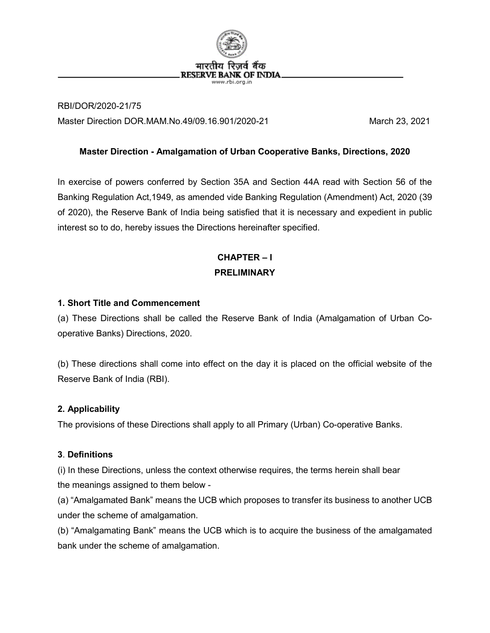

RBI/DOR/2020-21/75 Master Direction DOR.MAM.No.49/09.16.901/2020-21 March 23, 2021

### **Master Direction - Amalgamation of Urban Cooperative Banks, Directions, 2020**

In exercise of powers conferred by Section 35A and Section 44A read with Section 56 of the Banking Regulation Act,1949, as amended vide Banking Regulation (Amendment) Act, 2020 (39 of 2020), the Reserve Bank of India being satisfied that it is necessary and expedient in public interest so to do, hereby issues the Directions hereinafter specified.

## **CHAPTER – I PRELIMINARY**

### **1. Short Title and Commencement**

(a) These Directions shall be called the Reserve Bank of India (Amalgamation of Urban Cooperative Banks) Directions, 2020.

(b) These directions shall come into effect on the day it is placed on the official website of the Reserve Bank of India (RBI).

### **2. Applicability**

The provisions of these Directions shall apply to all Primary (Urban) Co-operative Banks.

### **3**. **Definitions**

(i) In these Directions, unless the context otherwise requires, the terms herein shall bear the meanings assigned to them below -

(a) "Amalgamated Bank" means the UCB which proposes to transfer its business to another UCB under the scheme of amalgamation.

(b) "Amalgamating Bank" means the UCB which is to acquire the business of the amalgamated bank under the scheme of amalgamation.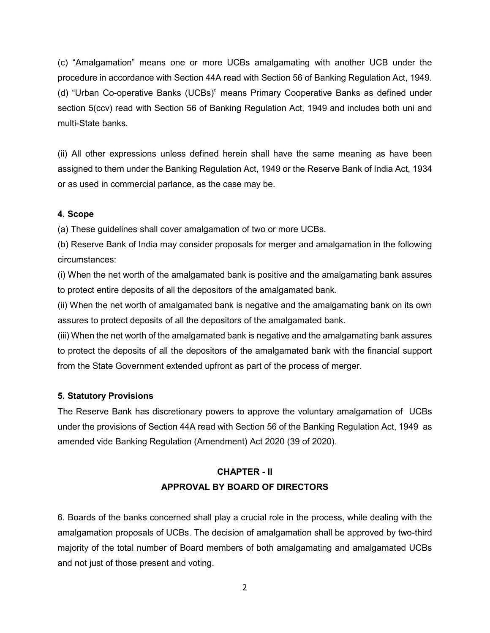(c) "Amalgamation" means one or more UCBs amalgamating with another UCB under the procedure in accordance with Section 44A read with Section 56 of Banking Regulation Act, 1949. (d) "Urban Co-operative Banks (UCBs)" means Primary Cooperative Banks as defined under section 5(ccv) read with Section 56 of Banking Regulation Act, 1949 and includes both uni and multi-State banks.

(ii) All other expressions unless defined herein shall have the same meaning as have been assigned to them under the Banking Regulation Act, 1949 or the Reserve Bank of India Act, 1934 or as used in commercial parlance, as the case may be.

### **4. Scope**

(a) These guidelines shall cover amalgamation of two or more UCBs.

(b) Reserve Bank of India may consider proposals for merger and amalgamation in the following circumstances:

(i) When the net worth of the amalgamated bank is positive and the amalgamating bank assures to protect entire deposits of all the depositors of the amalgamated bank.

(ii) When the net worth of amalgamated bank is negative and the amalgamating bank on its own assures to protect deposits of all the depositors of the amalgamated bank.

(iii) When the net worth of the amalgamated bank is negative and the amalgamating bank assures to protect the deposits of all the depositors of the amalgamated bank with the financial support from the State Government extended upfront as part of the process of merger.

#### **5. Statutory Provisions**

The Reserve Bank has discretionary powers to approve the voluntary amalgamation of UCBs under the provisions of Section 44A read with Section 56 of the Banking Regulation Act, 1949 as amended vide Banking Regulation (Amendment) Act 2020 (39 of 2020).

## **CHAPTER - II APPROVAL BY BOARD OF DIRECTORS**

6. Boards of the banks concerned shall play a crucial role in the process, while dealing with the amalgamation proposals of UCBs. The decision of amalgamation shall be approved by two-third majority of the total number of Board members of both amalgamating and amalgamated UCBs and not just of those present and voting.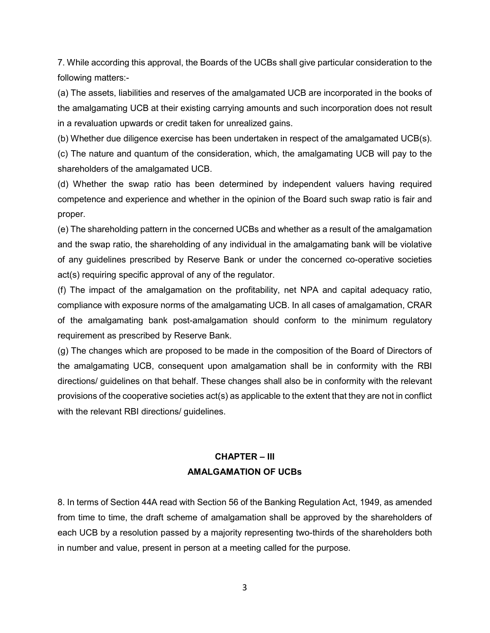7. While according this approval, the Boards of the UCBs shall give particular consideration to the following matters:-

(a) The assets, liabilities and reserves of the amalgamated UCB are incorporated in the books of the amalgamating UCB at their existing carrying amounts and such incorporation does not result in a revaluation upwards or credit taken for unrealized gains.

(b) Whether due diligence exercise has been undertaken in respect of the amalgamated UCB(s).

(c) The nature and quantum of the consideration, which, the amalgamating UCB will pay to the shareholders of the amalgamated UCB.

(d) Whether the swap ratio has been determined by independent valuers having required competence and experience and whether in the opinion of the Board such swap ratio is fair and proper.

(e) The shareholding pattern in the concerned UCBs and whether as a result of the amalgamation and the swap ratio, the shareholding of any individual in the amalgamating bank will be violative of any guidelines prescribed by Reserve Bank or under the concerned co-operative societies act(s) requiring specific approval of any of the regulator.

(f) The impact of the amalgamation on the profitability, net NPA and capital adequacy ratio, compliance with exposure norms of the amalgamating UCB. In all cases of amalgamation, CRAR of the amalgamating bank post-amalgamation should conform to the minimum regulatory requirement as prescribed by Reserve Bank.

(g) The changes which are proposed to be made in the composition of the Board of Directors of the amalgamating UCB, consequent upon amalgamation shall be in conformity with the RBI directions/ guidelines on that behalf. These changes shall also be in conformity with the relevant provisions of the cooperative societies act(s) as applicable to the extent that they are not in conflict with the relevant RBI directions/ guidelines.

# **CHAPTER – III AMALGAMATION OF UCBs**

8. In terms of Section 44A read with Section 56 of the Banking Regulation Act, 1949, as amended from time to time, the draft scheme of amalgamation shall be approved by the shareholders of each UCB by a resolution passed by a majority representing two-thirds of the shareholders both in number and value, present in person at a meeting called for the purpose.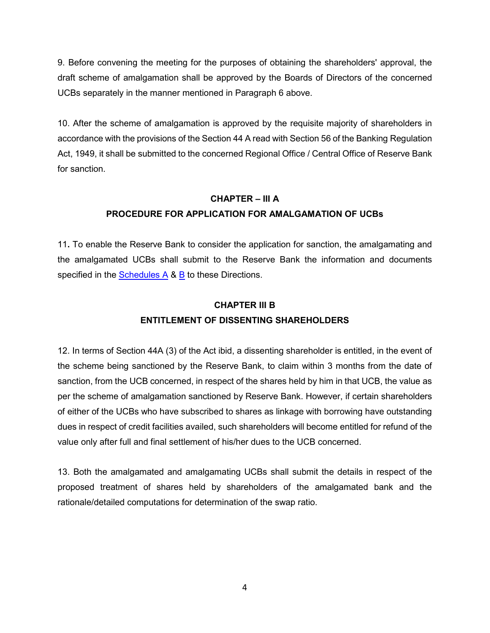9. Before convening the meeting for the purposes of obtaining the shareholders' approval, the draft scheme of amalgamation shall be approved by the Boards of Directors of the concerned UCBs separately in the manner mentioned in Paragraph 6 above.

10. After the scheme of amalgamation is approved by the requisite majority of shareholders in accordance with the provisions of the Section 44 A read with Section 56 of the Banking Regulation Act, 1949, it shall be submitted to the concerned Regional Office / Central Office of Reserve Bank for sanction.

## **CHAPTER – III A PROCEDURE FOR APPLICATION FOR AMALGAMATION OF UCBs**

11**.** To enable the Reserve Bank to consider the application for sanction, the amalgamating and the amalgamated UCBs shall submit to the Reserve Bank the information and documents specified in the [Schedules](#page-6-0) A & [B](#page-7-0) to these Directions.

# **CHAPTER III B ENTITLEMENT OF DISSENTING SHAREHOLDERS**

12. In terms of Section 44A (3) of the Act ibid, a dissenting shareholder is entitled, in the event of the scheme being sanctioned by the Reserve Bank, to claim within 3 months from the date of sanction, from the UCB concerned, in respect of the shares held by him in that UCB, the value as per the scheme of amalgamation sanctioned by Reserve Bank. However, if certain shareholders of either of the UCBs who have subscribed to shares as linkage with borrowing have outstanding dues in respect of credit facilities availed, such shareholders will become entitled for refund of the value only after full and final settlement of his/her dues to the UCB concerned.

13. Both the amalgamated and amalgamating UCBs shall submit the details in respect of the proposed treatment of shares held by shareholders of the amalgamated bank and the rationale/detailed computations for determination of the swap ratio.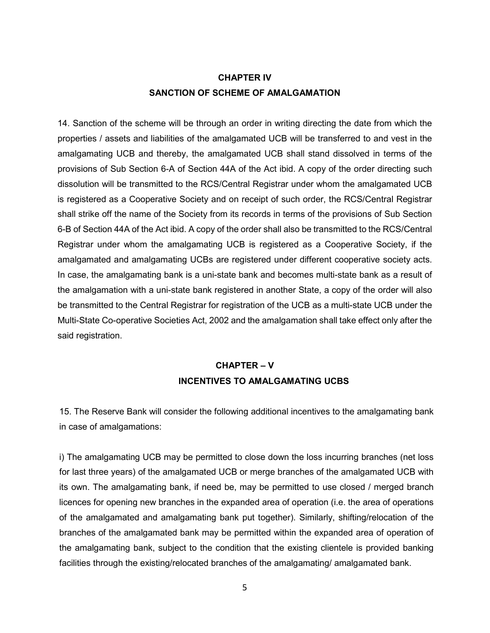## **CHAPTER IV SANCTION OF SCHEME OF AMALGAMATION**

14. Sanction of the scheme will be through an order in writing directing the date from which the properties / assets and liabilities of the amalgamated UCB will be transferred to and vest in the amalgamating UCB and thereby, the amalgamated UCB shall stand dissolved in terms of the provisions of Sub Section 6-A of Section 44A of the Act ibid. A copy of the order directing such dissolution will be transmitted to the RCS/Central Registrar under whom the amalgamated UCB is registered as a Cooperative Society and on receipt of such order, the RCS/Central Registrar shall strike off the name of the Society from its records in terms of the provisions of Sub Section 6-B of Section 44A of the Act ibid. A copy of the order shall also be transmitted to the RCS/Central Registrar under whom the amalgamating UCB is registered as a Cooperative Society, if the amalgamated and amalgamating UCBs are registered under different cooperative society acts. In case, the amalgamating bank is a uni-state bank and becomes multi-state bank as a result of the amalgamation with a uni-state bank registered in another State, a copy of the order will also be transmitted to the Central Registrar for registration of the UCB as a multi-state UCB under the Multi-State Co-operative Societies Act, 2002 and the amalgamation shall take effect only after the said registration.

# **CHAPTER – V INCENTIVES TO AMALGAMATING UCBS**

15. The Reserve Bank will consider the following additional incentives to the amalgamating bank in case of amalgamations:

i) The amalgamating UCB may be permitted to close down the loss incurring branches (net loss for last three years) of the amalgamated UCB or merge branches of the amalgamated UCB with its own. The amalgamating bank, if need be, may be permitted to use closed / merged branch licences for opening new branches in the expanded area of operation (i.e. the area of operations of the amalgamated and amalgamating bank put together). Similarly, shifting/relocation of the branches of the amalgamated bank may be permitted within the expanded area of operation of the amalgamating bank, subject to the condition that the existing clientele is provided banking facilities through the existing/relocated branches of the amalgamating/ amalgamated bank.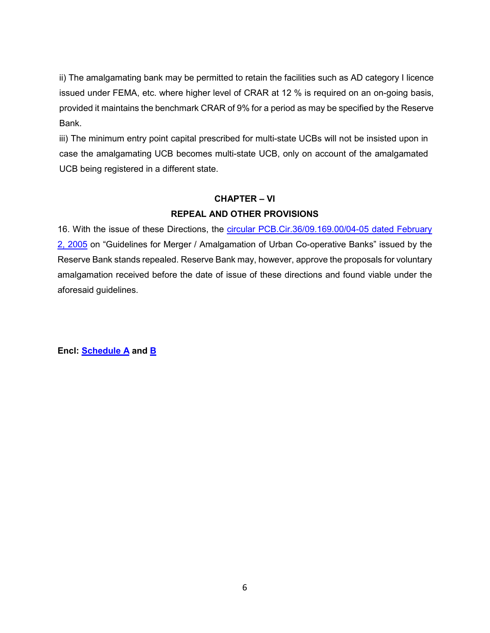ii) The amalgamating bank may be permitted to retain the facilities such as AD category I licence issued under FEMA, etc. where higher level of CRAR at 12 % is required on an on-going basis, provided it maintains the benchmark CRAR of 9% for a period as may be specified by the Reserve Bank.

iii) The minimum entry point capital prescribed for multi-state UCBs will not be insisted upon in case the amalgamating UCB becomes multi-state UCB, only on account of the amalgamated UCB being registered in a different state.

### **CHAPTER – VI REPEAL AND OTHER PROVISIONS**

16. With the issue of these Directions, the [circular PCB.Cir.36/09.169.00/04-05](https://www.rbi.org.in/Scripts/NotificationUser.aspx?Id=2631&Mode=0) dated February [2, 2005](https://www.rbi.org.in/Scripts/NotificationUser.aspx?Id=2631&Mode=0) on "Guidelines for Merger / Amalgamation of Urban Co-operative Banks" issued by the Reserve Bank stands repealed. Reserve Bank may, however, approve the proposals for voluntary amalgamation received before the date of issue of these directions and found viable under the aforesaid guidelines.

**Encl: [Schedule A](#page-6-0) and [B](#page-7-0)**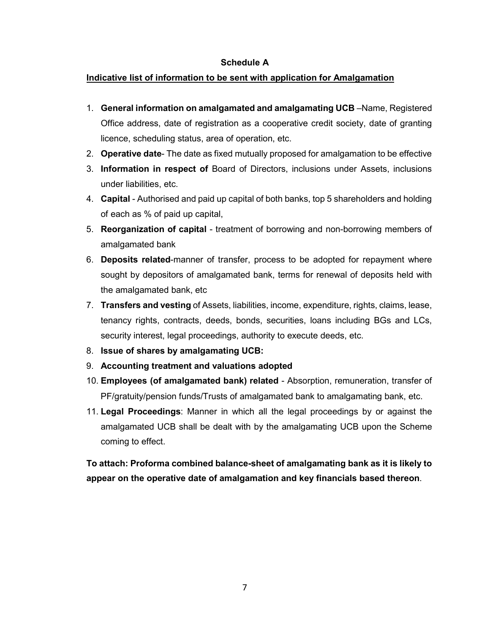### **Schedule A**

#### <span id="page-6-0"></span>**Indicative list of information to be sent with application for Amalgamation**

- 1. **General information on amalgamated and amalgamating UCB** –Name, Registered Office address, date of registration as a cooperative credit society, date of granting licence, scheduling status, area of operation, etc.
- 2. **Operative date** The date as fixed mutually proposed for amalgamation to be effective
- 3. **Information in respect of** Board of Directors, inclusions under Assets, inclusions under liabilities, etc.
- 4. **Capital**  Authorised and paid up capital of both banks, top 5 shareholders and holding of each as % of paid up capital,
- 5. **Reorganization of capital**  treatment of borrowing and non-borrowing members of amalgamated bank
- 6. **Deposits related**-manner of transfer, process to be adopted for repayment where sought by depositors of amalgamated bank, terms for renewal of deposits held with the amalgamated bank, etc
- 7. **Transfers and vesting** of Assets, liabilities, income, expenditure, rights, claims, lease, tenancy rights, contracts, deeds, bonds, securities, loans including BGs and LCs, security interest, legal proceedings, authority to execute deeds, etc.
- 8. **Issue of shares by amalgamating UCB:**
- 9. **Accounting treatment and valuations adopted**
- 10. **Employees (of amalgamated bank) related** Absorption, remuneration, transfer of PF/gratuity/pension funds/Trusts of amalgamated bank to amalgamating bank, etc.
- 11. **Legal Proceedings**: Manner in which all the legal proceedings by or against the amalgamated UCB shall be dealt with by the amalgamating UCB upon the Scheme coming to effect.

**To attach: Proforma combined balance-sheet of amalgamating bank as it is likely to appear on the operative date of amalgamation and key financials based thereon**.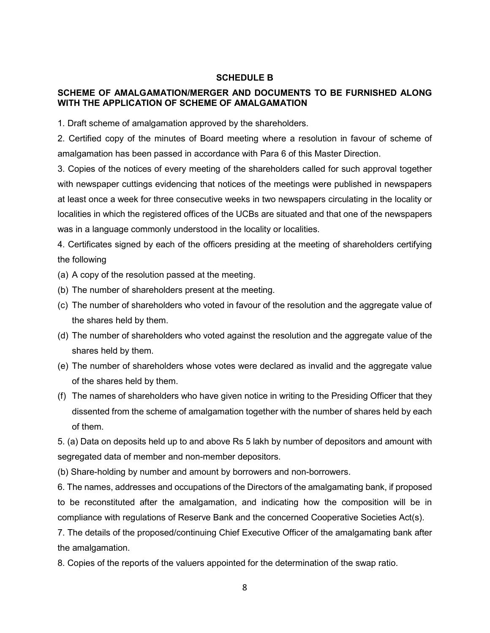#### **SCHEDULE B**

### <span id="page-7-0"></span>**SCHEME OF AMALGAMATION/MERGER AND DOCUMENTS TO BE FURNISHED ALONG WITH THE APPLICATION OF SCHEME OF AMALGAMATION**

1. Draft scheme of amalgamation approved by the shareholders.

2. Certified copy of the minutes of Board meeting where a resolution in favour of scheme of amalgamation has been passed in accordance with Para 6 of this Master Direction.

3. Copies of the notices of every meeting of the shareholders called for such approval together with newspaper cuttings evidencing that notices of the meetings were published in newspapers at least once a week for three consecutive weeks in two newspapers circulating in the locality or localities in which the registered offices of the UCBs are situated and that one of the newspapers was in a language commonly understood in the locality or localities.

4. Certificates signed by each of the officers presiding at the meeting of shareholders certifying the following

- (a) A copy of the resolution passed at the meeting.
- (b) The number of shareholders present at the meeting.
- (c) The number of shareholders who voted in favour of the resolution and the aggregate value of the shares held by them.
- (d) The number of shareholders who voted against the resolution and the aggregate value of the shares held by them.
- (e) The number of shareholders whose votes were declared as invalid and the aggregate value of the shares held by them.
- (f) The names of shareholders who have given notice in writing to the Presiding Officer that they dissented from the scheme of amalgamation together with the number of shares held by each of them.

5. (a) Data on deposits held up to and above Rs 5 lakh by number of depositors and amount with segregated data of member and non-member depositors.

(b) Share-holding by number and amount by borrowers and non-borrowers.

6. The names, addresses and occupations of the Directors of the amalgamating bank, if proposed to be reconstituted after the amalgamation, and indicating how the composition will be in compliance with regulations of Reserve Bank and the concerned Cooperative Societies Act(s).

7. The details of the proposed/continuing Chief Executive Officer of the amalgamating bank after the amalgamation.

8. Copies of the reports of the valuers appointed for the determination of the swap ratio.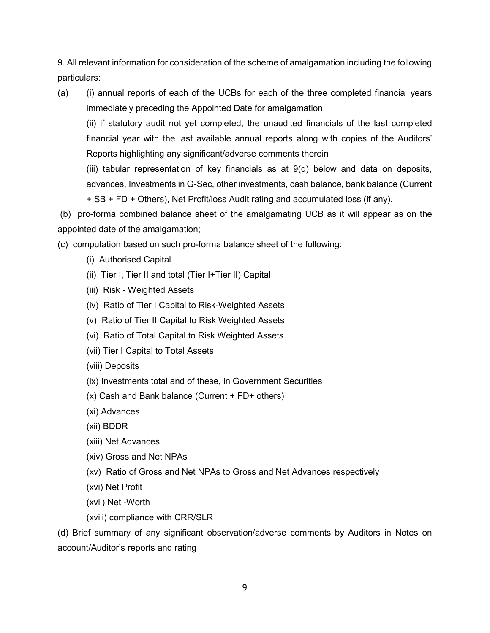9. All relevant information for consideration of the scheme of amalgamation including the following particulars:

(a) (i) annual reports of each of the UCBs for each of the three completed financial years immediately preceding the Appointed Date for amalgamation

(ii) if statutory audit not yet completed, the unaudited financials of the last completed financial year with the last available annual reports along with copies of the Auditors' Reports highlighting any significant/adverse comments therein

(iii) tabular representation of key financials as at 9(d) below and data on deposits, advances, Investments in G-Sec, other investments, cash balance, bank balance (Current + SB + FD + Others), Net Profit/loss Audit rating and accumulated loss (if any).

(b) pro-forma combined balance sheet of the amalgamating UCB as it will appear as on the appointed date of the amalgamation;

(c) computation based on such pro-forma balance sheet of the following:

- (i) Authorised Capital
- (ii) Tier I, Tier II and total (Tier I+Tier II) Capital
- (iii) Risk Weighted Assets
- (iv) Ratio of Tier I Capital to Risk-Weighted Assets
- (v) Ratio of Tier II Capital to Risk Weighted Assets
- (vi) Ratio of Total Capital to Risk Weighted Assets
- (vii) Tier I Capital to Total Assets
- (viii) Deposits
- (ix) Investments total and of these, in Government Securities
- (x) Cash and Bank balance (Current + FD+ others)
- (xi) Advances
- (xii) BDDR
- (xiii) Net Advances
- (xiv) Gross and Net NPAs
- (xv) Ratio of Gross and Net NPAs to Gross and Net Advances respectively
- (xvi) Net Profit
- (xvii) Net -Worth
- (xviii) compliance with CRR/SLR

(d) Brief summary of any significant observation/adverse comments by Auditors in Notes on account/Auditor's reports and rating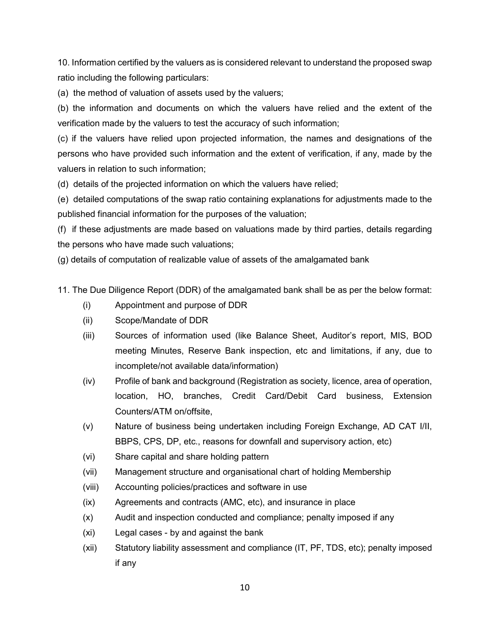10. Information certified by the valuers as is considered relevant to understand the proposed swap ratio including the following particulars:

(a) the method of valuation of assets used by the valuers;

(b) the information and documents on which the valuers have relied and the extent of the verification made by the valuers to test the accuracy of such information;

(c) if the valuers have relied upon projected information, the names and designations of the persons who have provided such information and the extent of verification, if any, made by the valuers in relation to such information;

(d) details of the projected information on which the valuers have relied;

(e) detailed computations of the swap ratio containing explanations for adjustments made to the published financial information for the purposes of the valuation;

(f) if these adjustments are made based on valuations made by third parties, details regarding the persons who have made such valuations;

(g) details of computation of realizable value of assets of the amalgamated bank

11. The Due Diligence Report (DDR) of the amalgamated bank shall be as per the below format:

- (i) Appointment and purpose of DDR
- (ii) Scope/Mandate of DDR
- (iii) Sources of information used (like Balance Sheet, Auditor's report, MIS, BOD meeting Minutes, Reserve Bank inspection, etc and limitations, if any, due to incomplete/not available data/information)
- (iv) Profile of bank and background (Registration as society, licence, area of operation, location, HO, branches, Credit Card/Debit Card business, Extension Counters/ATM on/offsite,
- (v) Nature of business being undertaken including Foreign Exchange, AD CAT I/II, BBPS, CPS, DP, etc., reasons for downfall and supervisory action, etc)
- (vi) Share capital and share holding pattern
- (vii) Management structure and organisational chart of holding Membership
- (viii) Accounting policies/practices and software in use
- (ix) Agreements and contracts (AMC, etc), and insurance in place
- (x) Audit and inspection conducted and compliance; penalty imposed if any
- (xi) Legal cases by and against the bank
- (xii) Statutory liability assessment and compliance (IT, PF, TDS, etc); penalty imposed if any